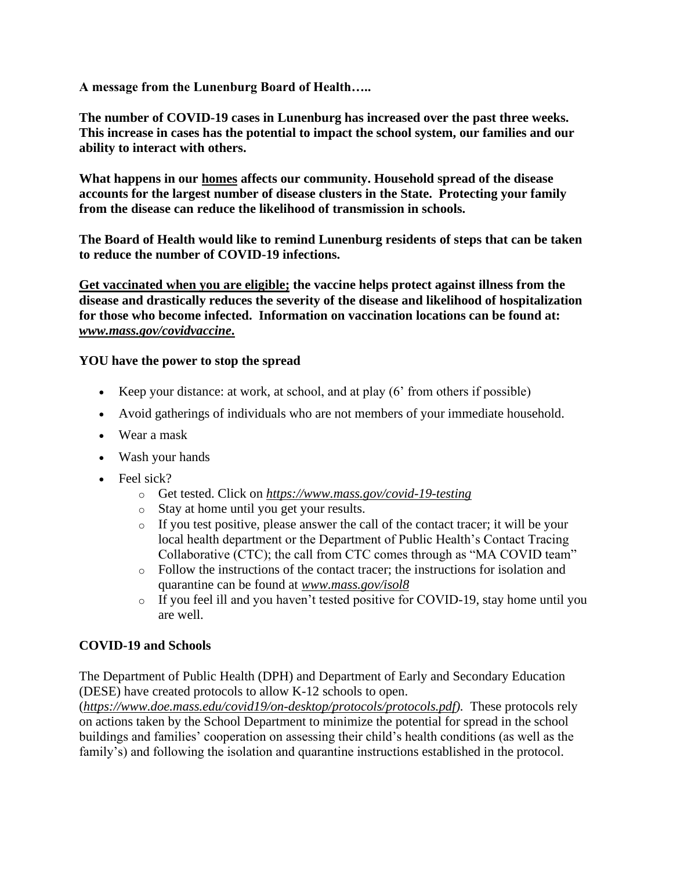**A message from the Lunenburg Board of Health…..**

**The number of COVID-19 cases in Lunenburg has increased over the past three weeks. This increase in cases has the potential to impact the school system, our families and our ability to interact with others.** 

**What happens in our homes affects our community. Household spread of the disease accounts for the largest number of disease clusters in the State. Protecting your family from the disease can reduce the likelihood of transmission in schools.**

**The Board of Health would like to remind Lunenburg residents of steps that can be taken to reduce the number of COVID-19 infections.**

**Get vaccinated when you are eligible; the vaccine helps protect against illness from the disease and drastically reduces the severity of the disease and likelihood of hospitalization for those who become infected. Information on vaccination locations can be found at:** *[www.mass.gov/covidvaccine](http://www.mass.gov/covidvaccine)***.**

## **YOU have the power to stop the spread**

- Keep your distance: at work, at school, and at play (6' from others if possible)
- Avoid gatherings of individuals who are not members of your immediate household.
- Wear a mask
- Wash your hands
- Feel sick?
	- o Get tested. Click on *<https://www.mass.gov/covid-19-testing>*
	- o Stay at home until you get your results.
	- o If you test positive, please answer the call of the contact tracer; it will be your local health department or the Department of Public Health's Contact Tracing Collaborative (CTC); the call from CTC comes through as "MA COVID team"
	- o Follow the instructions of the contact tracer; the instructions for isolation and quarantine can be found at *[www.mass.gov/isol8](http://www.mass.gov/isol8)*
	- o If you feel ill and you haven't tested positive for COVID-19, stay home until you are well.

## **COVID-19 and Schools**

The Department of Public Health (DPH) and Department of Early and Secondary Education (DESE) have created protocols to allow K-12 schools to open.

(*[https://www.doe.mass.edu/covid19/on-desktop/protocols/protocols.pdf\)](https://www.doe.mass.edu/covid19/on-desktop/protocols/protocols.pdf).* These protocols rely on actions taken by the School Department to minimize the potential for spread in the school buildings and families' cooperation on assessing their child's health conditions (as well as the family's) and following the isolation and quarantine instructions established in the protocol.